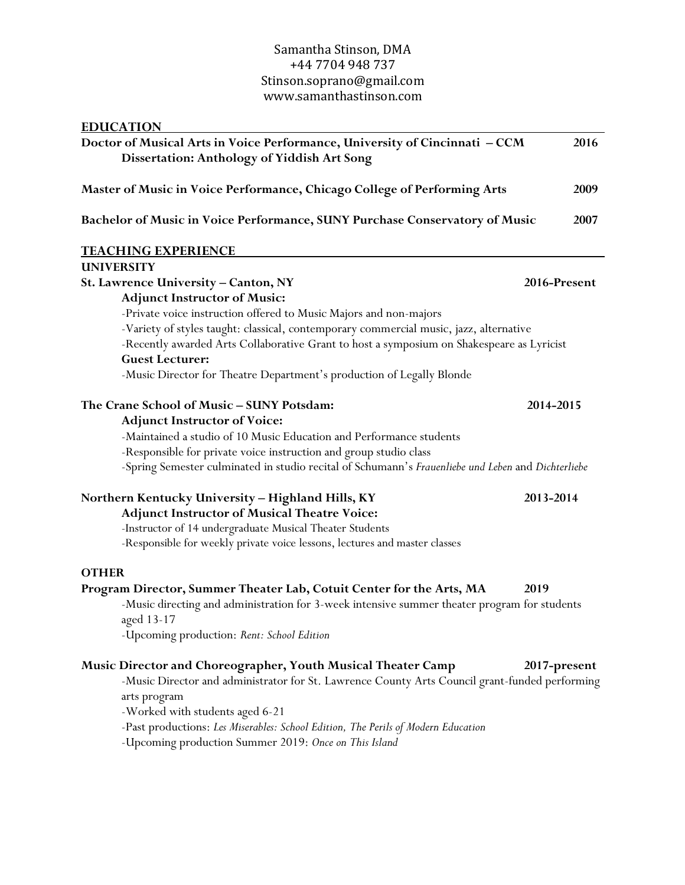| <b>EDUCATION</b>                                |                                                                                                                            |              |
|-------------------------------------------------|----------------------------------------------------------------------------------------------------------------------------|--------------|
|                                                 | Doctor of Musical Arts in Voice Performance, University of Cincinnati - CCM<br>Dissertation: Anthology of Yiddish Art Song | 2016         |
|                                                 | Master of Music in Voice Performance, Chicago College of Performing Arts                                                   | 2009         |
|                                                 | Bachelor of Music in Voice Performance, SUNY Purchase Conservatory of Music                                                | 2007         |
| <u>TEACHING EXPERIENCE</u>                      |                                                                                                                            |              |
| <b>UNIVERSITY</b>                               |                                                                                                                            |              |
| <b>St. Lawrence University – Canton, NY</b>     |                                                                                                                            | 2016-Present |
| <b>Adjunct Instructor of Music:</b>             |                                                                                                                            |              |
|                                                 | -Private voice instruction offered to Music Majors and non-majors                                                          |              |
|                                                 | -Variety of styles taught: classical, contemporary commercial music, jazz, alternative                                     |              |
|                                                 | -Recently awarded Arts Collaborative Grant to host a symposium on Shakespeare as Lyricist                                  |              |
| <b>Guest Lecturer:</b>                          |                                                                                                                            |              |
|                                                 | -Music Director for Theatre Department's production of Legally Blonde                                                      |              |
| The Crane School of Music - SUNY Potsdam:       |                                                                                                                            | 2014-2015    |
| <b>Adjunct Instructor of Voice:</b>             |                                                                                                                            |              |
|                                                 | -Maintained a studio of 10 Music Education and Performance students                                                        |              |
|                                                 | -Responsible for private voice instruction and group studio class                                                          |              |
|                                                 | -Spring Semester culminated in studio recital of Schumann's Frauenliebe und Leben and Dichterliebe                         |              |
|                                                 | Northern Kentucky University – Highland Hills, KY                                                                          | 2013-2014    |
|                                                 | <b>Adjunct Instructor of Musical Theatre Voice:</b>                                                                        |              |
|                                                 | -Instructor of 14 undergraduate Musical Theater Students                                                                   |              |
|                                                 | -Responsible for weekly private voice lessons, lectures and master classes                                                 |              |
| <b>OTHER</b>                                    |                                                                                                                            |              |
|                                                 | Program Director, Summer Theater Lab, Cotuit Center for the Arts, MA                                                       | 2019         |
| aged 13-17                                      | -Music directing and administration for 3-week intensive summer theater program for students                               |              |
|                                                 | -Upcoming production: Rent: School Edition                                                                                 |              |
|                                                 | Music Director and Choreographer, Youth Musical Theater Camp                                                               | 2017-present |
|                                                 | -Music Director and administrator for St. Lawrence County Arts Council grant-funded performing                             |              |
| arts program<br>-Worked with students aged 6-21 |                                                                                                                            |              |
|                                                 | -Past productions: Les Miserables: School Edition, The Perils of Modern Education                                          |              |
|                                                 | -Upcoming production Summer 2019: Once on This Island                                                                      |              |
|                                                 |                                                                                                                            |              |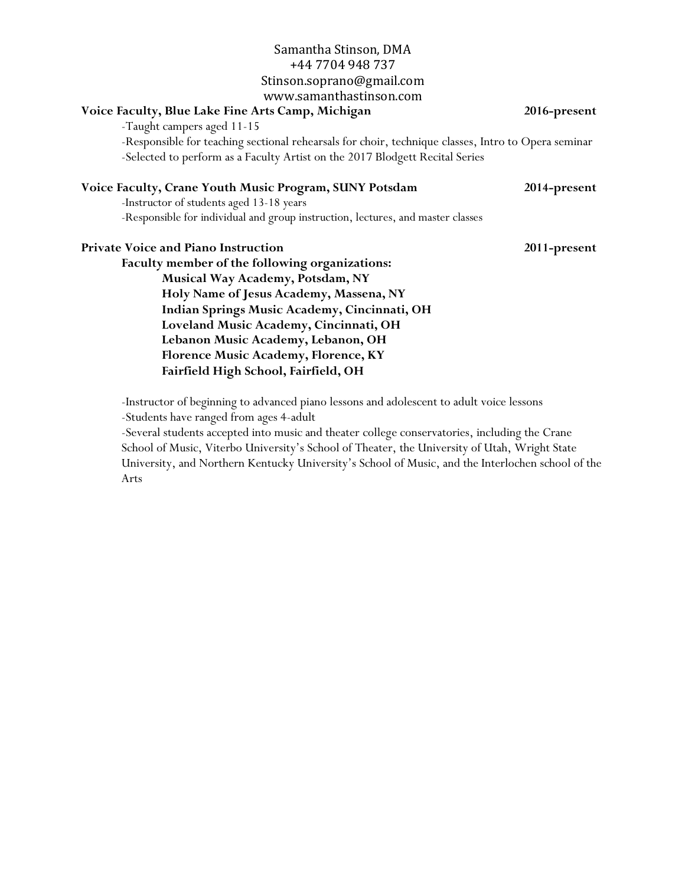| Samantha Stinson, DMA                                                                                                                                                                 |                     |
|---------------------------------------------------------------------------------------------------------------------------------------------------------------------------------------|---------------------|
| +44 7704 948 737                                                                                                                                                                      |                     |
| Stinson.soprano@gmail.com                                                                                                                                                             |                     |
| www.samanthastinson.com                                                                                                                                                               |                     |
| Voice Faculty, Blue Lake Fine Arts Camp, Michigan                                                                                                                                     | 2016-present        |
| -Taught campers aged 11-15                                                                                                                                                            |                     |
| -Responsible for teaching sectional rehearsals for choir, technique classes, Intro to Opera seminar<br>-Selected to perform as a Faculty Artist on the 2017 Blodgett Recital Series   |                     |
| Voice Faculty, Crane Youth Music Program, SUNY Potsdam<br>-Instructor of students aged 13-18 years<br>-Responsible for individual and group instruction, lectures, and master classes | <b>2014-present</b> |
| <b>Private Voice and Piano Instruction</b>                                                                                                                                            | 2011-present        |
| Faculty member of the following organizations:                                                                                                                                        |                     |
| Musical Way Academy, Potsdam, NY                                                                                                                                                      |                     |
| Holy Name of Jesus Academy, Massena, NY                                                                                                                                               |                     |
| Indian Springs Music Academy, Cincinnati, OH                                                                                                                                          |                     |
| Loveland Music Academy, Cincinnati, OH                                                                                                                                                |                     |
| Lebanon Music Academy, Lebanon, OH                                                                                                                                                    |                     |
| Florence Music Academy, Florence, KY                                                                                                                                                  |                     |
| Fairfield High School, Fairfield, OH                                                                                                                                                  |                     |

-Instructor of beginning to advanced piano lessons and adolescent to adult voice lessons -Students have ranged from ages 4-adult

-Several students accepted into music and theater college conservatories, including the Crane School of Music, Viterbo University's School of Theater, the University of Utah, Wright State University, and Northern Kentucky University's School of Music, and the Interlochen school of the Arts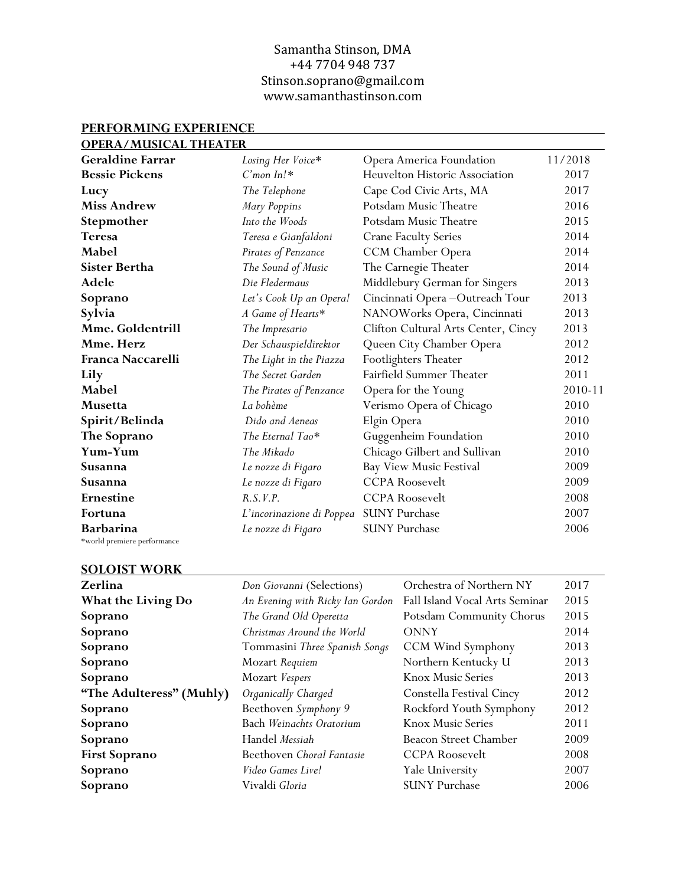| <b>OPERA/MUSICAL THEATER</b> |                           |                                       |         |
|------------------------------|---------------------------|---------------------------------------|---------|
| <b>Geraldine Farrar</b>      | Losing Her Voice*         | Opera America Foundation              | 11/2018 |
| <b>Bessie Pickens</b>        | $C'$ mon In!*             | <b>Heuvelton Historic Association</b> | 2017    |
| Lucy                         | The Telephone             | Cape Cod Civic Arts, MA               | 2017    |
| <b>Miss Andrew</b>           | Mary Poppins              | Potsdam Music Theatre                 | 2016    |
| Stepmother                   | Into the Woods            | Potsdam Music Theatre                 | 2015    |
| <b>Teresa</b>                | Teresa e Gianfaldoni      | <b>Crane Faculty Series</b>           | 2014    |
| Mabel                        | Pirates of Penzance       | CCM Chamber Opera                     | 2014    |
| <b>Sister Bertha</b>         | The Sound of Music        | The Carnegie Theater                  | 2014    |
| Adele                        | Die Fledermaus            | Middlebury German for Singers         | 2013    |
| Soprano                      | Let's Cook Up an Opera!   | Cincinnati Opera-Outreach Tour        | 2013    |
| Sylvia                       | A Game of Hearts*         | NANOWorks Opera, Cincinnati           | 2013    |
| <b>Mme. Goldentrill</b>      | The Impresario            | Clifton Cultural Arts Center, Cincy   | 2013    |
| Mme. Herz                    | Der Schauspieldirektor    | Queen City Chamber Opera              | 2012    |
| Franca Naccarelli            | The Light in the Piazza   | Footlighters Theater                  | 2012    |
| Lily                         | The Secret Garden         | Fairfield Summer Theater              | 2011    |
| Mabel                        | The Pirates of Penzance   | Opera for the Young                   | 2010-11 |
| <b>Musetta</b>               | La bohème                 | Verismo Opera of Chicago              | 2010    |
| Spirit/Belinda               | Dido and Aeneas           | Elgin Opera                           | 2010    |
| The Soprano                  | The Eternal Tao*          | Guggenheim Foundation                 | 2010    |
| Yum-Yum                      | The Mikado                | Chicago Gilbert and Sullivan          | 2010    |
| Susanna                      | Le nozze di Figaro        | <b>Bay View Music Festival</b>        | 2009    |
| Susanna                      | Le nozze di Figaro        | <b>CCPA</b> Roosevelt                 | 2009    |
| Ernestine                    | R.S. V.P.                 | <b>CCPA</b> Roosevelt                 | 2008    |
| Fortuna                      | L'incorinazione di Poppea | <b>SUNY Purchase</b>                  | 2007    |
| <b>Barbarina</b>             | Le nozze di Figaro        | <b>SUNY Purchase</b>                  | 2006    |
| *world premiere performance  |                           |                                       |         |

# **PERFORMING EXPERIENCE**

# **SOLOIST WORK**

| JULUIJI <i>W</i> UNA      |                                  |                                |      |
|---------------------------|----------------------------------|--------------------------------|------|
| Zerlina                   | Don Giovanni (Selections)        | Orchestra of Northern NY       | 2017 |
| <b>What the Living Do</b> | An Evening with Ricky Ian Gordon | Fall Island Vocal Arts Seminar | 2015 |
| Soprano                   | The Grand Old Operetta           | Potsdam Community Chorus       | 2015 |
| Soprano                   | Christmas Around the World       | <b>ONNY</b>                    | 2014 |
| Soprano                   | Tommasini Three Spanish Songs    | CCM Wind Symphony              | 2013 |
| Soprano                   | Mozart Requiem                   | Northern Kentucky U            | 2013 |
| Soprano                   | Mozart Vespers                   | <b>Knox Music Series</b>       | 2013 |
| "The Adulteress" (Muhly)  | Organically Charged              | Constella Festival Cincy       | 2012 |
| Soprano                   | Beethoven Symphony 9             | Rockford Youth Symphony        | 2012 |
| Soprano                   | Bach Weinachts Oratorium         | <b>Knox Music Series</b>       | 2011 |
| Soprano                   | Handel Messiah                   | Beacon Street Chamber          | 2009 |
| <b>First Soprano</b>      | Beethoven Choral Fantasie        | <b>CCPA</b> Roosevelt          | 2008 |
| Soprano                   | Video Games Live!                | Yale University                | 2007 |
| Soprano                   | Vivaldi Gloria                   | <b>SUNY Purchase</b>           | 2006 |
|                           |                                  |                                |      |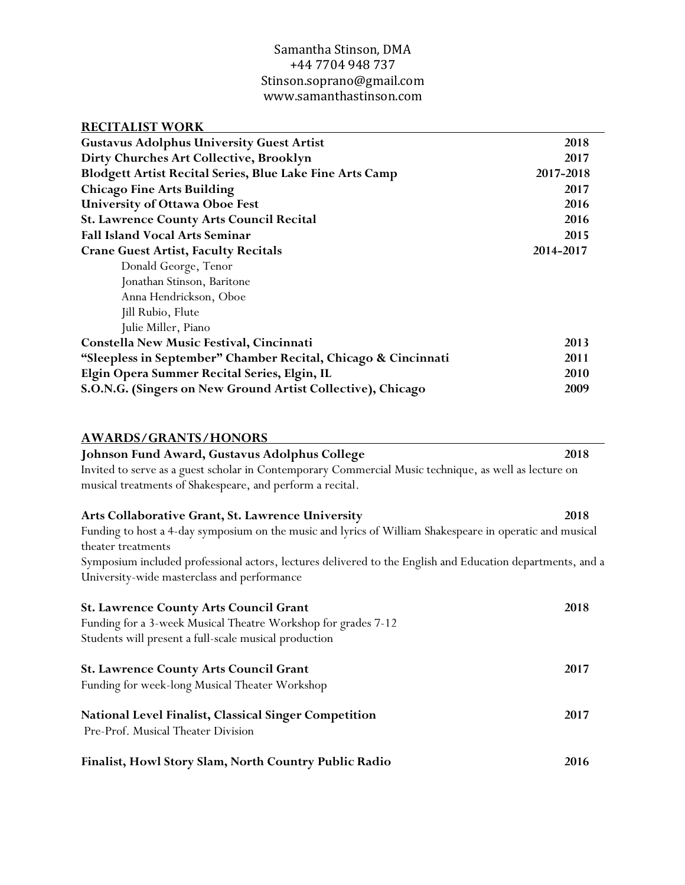| <b>RECITALIST WORK</b>                                         |           |
|----------------------------------------------------------------|-----------|
| <b>Gustavus Adolphus University Guest Artist</b>               | 2018      |
| Dirty Churches Art Collective, Brooklyn                        | 2017      |
| Blodgett Artist Recital Series, Blue Lake Fine Arts Camp       | 2017-2018 |
| <b>Chicago Fine Arts Building</b>                              | 2017      |
| <b>University of Ottawa Oboe Fest</b>                          | 2016      |
| <b>St. Lawrence County Arts Council Recital</b>                | 2016      |
| <b>Fall Island Vocal Arts Seminar</b>                          | 2015      |
| <b>Crane Guest Artist, Faculty Recitals</b>                    | 2014-2017 |
| Donald George, Tenor                                           |           |
| Jonathan Stinson, Baritone                                     |           |
| Anna Hendrickson, Oboe                                         |           |
| Jill Rubio, Flute                                              |           |
| Julie Miller, Piano                                            |           |
| Constella New Music Festival, Cincinnati                       | 2013      |
| "Sleepless in September" Chamber Recital, Chicago & Cincinnati | 2011      |
| Elgin Opera Summer Recital Series, Elgin, IL                   | 2010      |
| S.O.N.G. (Singers on New Ground Artist Collective), Chicago    | 2009      |

| <b>AWARDS/GRANTS/HONORS</b> |
|-----------------------------|
|-----------------------------|

| <b>AWARDS/GRANTS/HONORS</b>                                                                                |      |
|------------------------------------------------------------------------------------------------------------|------|
| Johnson Fund Award, Gustavus Adolphus College                                                              | 2018 |
| Invited to serve as a guest scholar in Contemporary Commercial Music technique, as well as lecture on      |      |
| musical treatments of Shakespeare, and perform a recital.                                                  |      |
| Arts Collaborative Grant, St. Lawrence University                                                          | 2018 |
| Funding to host a 4-day symposium on the music and lyrics of William Shakespeare in operatic and musical   |      |
| theater treatments                                                                                         |      |
| Symposium included professional actors, lectures delivered to the English and Education departments, and a |      |
| University-wide masterclass and performance                                                                |      |
| <b>St. Lawrence County Arts Council Grant</b>                                                              | 2018 |
| Funding for a 3-week Musical Theatre Workshop for grades 7-12                                              |      |
| Students will present a full-scale musical production                                                      |      |
| <b>St. Lawrence County Arts Council Grant</b>                                                              | 2017 |
| Funding for week-long Musical Theater Workshop                                                             |      |
| National Level Finalist, Classical Singer Competition                                                      | 2017 |
| Pre-Prof. Musical Theater Division                                                                         |      |
| Finalist, Howl Story Slam, North Country Public Radio                                                      | 2016 |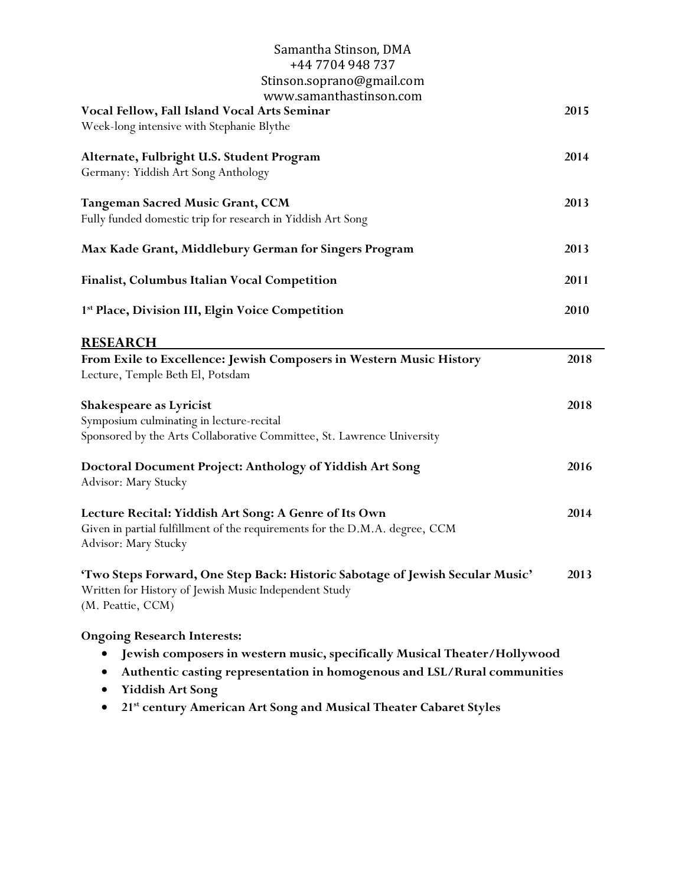| Samantha Stinson, DMA<br>+44 7704 948 737                                                               |      |
|---------------------------------------------------------------------------------------------------------|------|
| Stinson.soprano@gmail.com                                                                               |      |
| www.samanthastinson.com                                                                                 |      |
| Vocal Fellow, Fall Island Vocal Arts Seminar                                                            | 2015 |
| Week-long intensive with Stephanie Blythe                                                               |      |
| Alternate, Fulbright U.S. Student Program                                                               | 2014 |
| Germany: Yiddish Art Song Anthology                                                                     |      |
| <b>Tangeman Sacred Music Grant, CCM</b>                                                                 | 2013 |
| Fully funded domestic trip for research in Yiddish Art Song                                             |      |
| Max Kade Grant, Middlebury German for Singers Program                                                   | 2013 |
| <b>Finalist, Columbus Italian Vocal Competition</b>                                                     | 2011 |
| 1st Place, Division III, Elgin Voice Competition                                                        | 2010 |
| <b>RESEARCH</b>                                                                                         |      |
| From Exile to Excellence: Jewish Composers in Western Music History<br>Lecture, Temple Beth El, Potsdam | 2018 |
| <b>Shakespeare as Lyricist</b>                                                                          | 2018 |
| Symposium culminating in lecture-recital                                                                |      |
| Sponsored by the Arts Collaborative Committee, St. Lawrence University                                  |      |
| Doctoral Document Project: Anthology of Yiddish Art Song                                                | 2016 |
| Advisor: Mary Stucky                                                                                    |      |
| Lecture Recital: Yiddish Art Song: A Genre of Its Own                                                   | 2014 |
| Given in partial fulfillment of the requirements for the D.M.A. degree, CCM<br>Advisor: Mary Stucky     |      |
| 'Two Steps Forward, One Step Back: Historic Sabotage of Jewish Secular Music'                           | 2013 |
| Written for History of Jewish Music Independent Study<br>(M. Peattie, CCM)                              |      |
| <b>Ongoing Research Interests:</b>                                                                      |      |
| Jewish composers in western music, specifically Musical Theater/Hollywood                               |      |
| Authentic casting representation in homogenous and LSL/Rural communities                                |      |
| <b>Yiddish Art Song</b>                                                                                 |      |

• **21st century American Art Song and Musical Theater Cabaret Styles**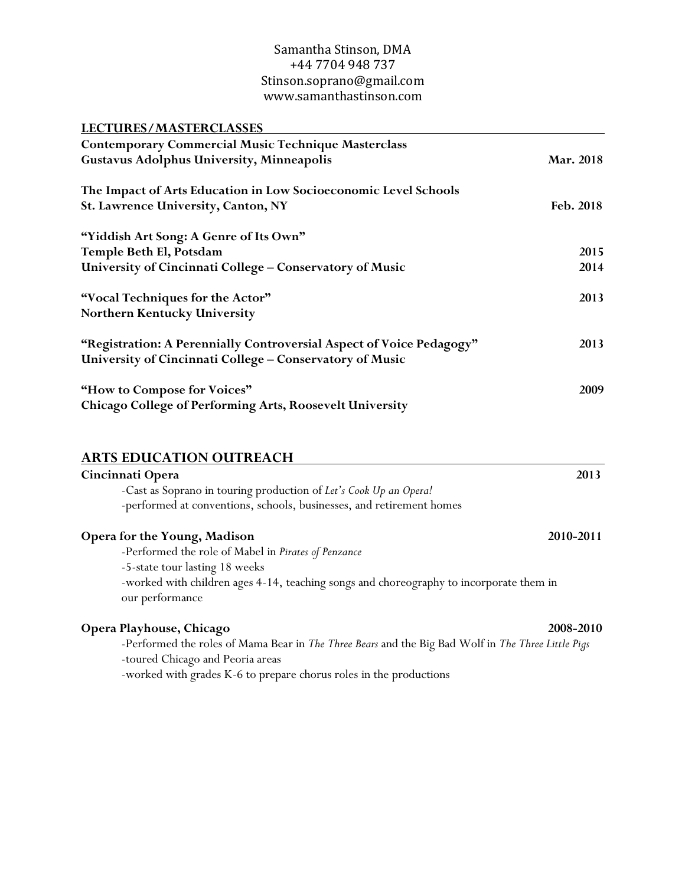| LECTURES/MASTERCLASSES                                                                                                                    |           |
|-------------------------------------------------------------------------------------------------------------------------------------------|-----------|
| <b>Contemporary Commercial Music Technique Masterclass</b>                                                                                |           |
| <b>Gustavus Adolphus University, Minneapolis</b>                                                                                          | Mar. 2018 |
| The Impact of Arts Education in Low Socioeconomic Level Schools                                                                           |           |
| <b>St. Lawrence University, Canton, NY</b>                                                                                                | Feb. 2018 |
| "Yiddish Art Song: A Genre of Its Own"                                                                                                    |           |
| Temple Beth El, Potsdam                                                                                                                   | 2015      |
| University of Cincinnati College - Conservatory of Music                                                                                  | 2014      |
| "Vocal Techniques for the Actor"                                                                                                          | 2013      |
| Northern Kentucky University                                                                                                              |           |
| "Registration: A Perennially Controversial Aspect of Voice Pedagogy"<br>University of Cincinnati College - Conservatory of Music          | 2013      |
| "How to Compose for Voices"<br>Chicago College of Performing Arts, Roosevelt University                                                   | 2009      |
| <b>ARTS EDUCATION OUTREACH</b>                                                                                                            |           |
| Cincinnati Opera                                                                                                                          | 2013      |
| -Cast as Soprano in touring production of Let's Cook Up an Opera!<br>-performed at conventions, schools, businesses, and retirement homes |           |
| <b>Opera for the Young, Madison</b>                                                                                                       | 2010-2011 |
| -Performed the role of Mabel in Pirates of Penzance                                                                                       |           |
| -5-state tour lasting 18 weeks                                                                                                            |           |
| -worked with children ages 4-14, teaching songs and choreography to incorporate them in<br>our performance                                |           |
| Opera Playhouse, Chicago                                                                                                                  | 2008-2010 |
| -Performed the roles of Mama Bear in The Three Bears and the Big Bad Wolf in The Three Little Pigs                                        |           |
| -toured Chicago and Peoria areas                                                                                                          |           |
| -worked with grades K-6 to prepare chorus roles in the productions                                                                        |           |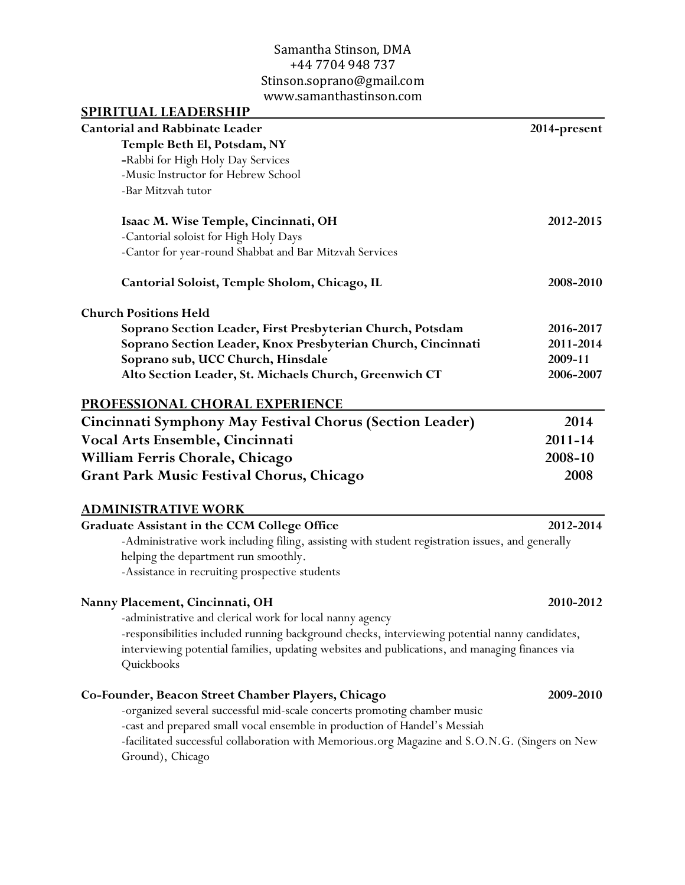| <b>SPIRITUAL LEADERSHIP</b>                                                                                  |              |
|--------------------------------------------------------------------------------------------------------------|--------------|
| <b>Cantorial and Rabbinate Leader</b>                                                                        | 2014-present |
| Temple Beth El, Potsdam, NY                                                                                  |              |
| -Rabbi for High Holy Day Services                                                                            |              |
| -Music Instructor for Hebrew School                                                                          |              |
| -Bar Mitzvah tutor                                                                                           |              |
| Isaac M. Wise Temple, Cincinnati, OH                                                                         | 2012-2015    |
| -Cantorial soloist for High Holy Days                                                                        |              |
| -Cantor for year-round Shabbat and Bar Mitzvah Services                                                      |              |
| Cantorial Soloist, Temple Sholom, Chicago, IL                                                                | 2008-2010    |
| <b>Church Positions Held</b>                                                                                 |              |
| Soprano Section Leader, First Presbyterian Church, Potsdam                                                   | 2016-2017    |
| Soprano Section Leader, Knox Presbyterian Church, Cincinnati                                                 | 2011-2014    |
| Soprano sub, UCC Church, Hinsdale                                                                            | 2009-11      |
| Alto Section Leader, St. Michaels Church, Greenwich CT                                                       | 2006-2007    |
| <b>PROFESSIONAL CHORAL EXPERIENCE</b>                                                                        |              |
| Cincinnati Symphony May Festival Chorus (Section Leader)                                                     | 2014         |
| Vocal Arts Ensemble, Cincinnati                                                                              | $2011 - 14$  |
| William Ferris Chorale, Chicago                                                                              | 2008-10      |
| <b>Grant Park Music Festival Chorus, Chicago</b>                                                             | 2008         |
| <b>ADMINISTRATIVE WORK</b>                                                                                   |              |
| Graduate Assistant in the CCM College Office                                                                 | 2012-2014    |
| -Administrative work including filing, assisting with student registration issues, and generally             |              |
| helping the department run smoothly.                                                                         |              |
| -Assistance in recruiting prospective students                                                               |              |
| Nanny Placement, Cincinnati, OH                                                                              | 2010-2012    |
| -administrative and clerical work for local nanny agency                                                     |              |
| -responsibilities included running background checks, interviewing potential nanny candidates,               |              |
| interviewing potential families, updating websites and publications, and managing finances via<br>Quickbooks |              |
| Co-Founder, Beacon Street Chamber Players, Chicago                                                           | 2009-2010    |
| -organized several successful mid-scale concerts promoting chamber music                                     |              |
| -cast and prepared small vocal ensemble in production of Handel's Messiah                                    |              |
| -facilitated successful collaboration with Memorious.org Magazine and S.O.N.G. (Singers on New               |              |

Ground), Chicago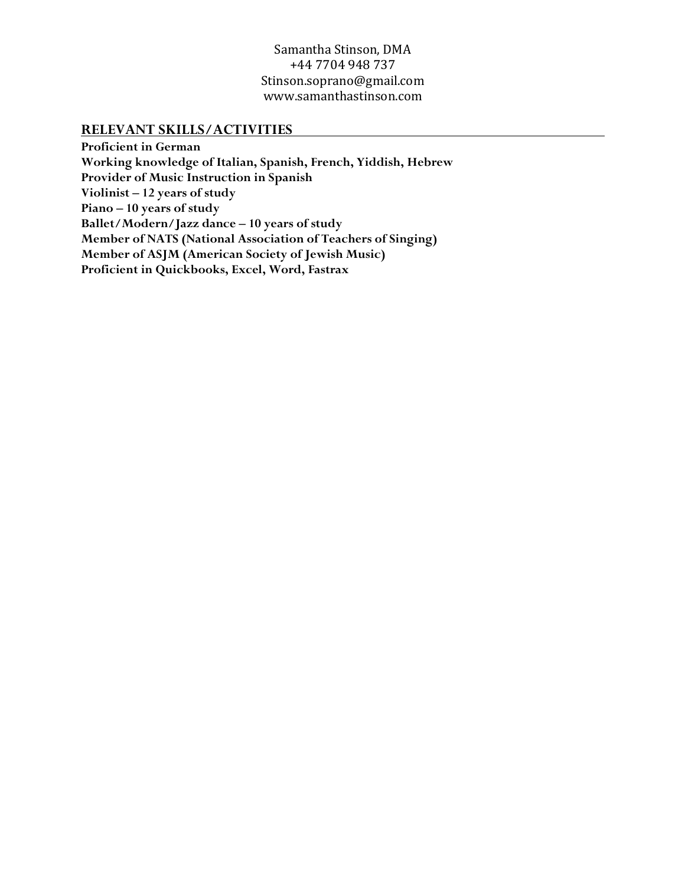#### **RELEVANT SKILLS/ACTIVITIES**

**Proficient in German Working knowledge of Italian, Spanish, French, Yiddish, Hebrew Provider of Music Instruction in Spanish Violinist – 12 years of study Piano – 10 years of study Ballet/Modern/Jazz dance – 10 years of study Member of NATS (National Association of Teachers of Singing) Member of ASJM (American Society of Jewish Music) Proficient in Quickbooks, Excel, Word, Fastrax**